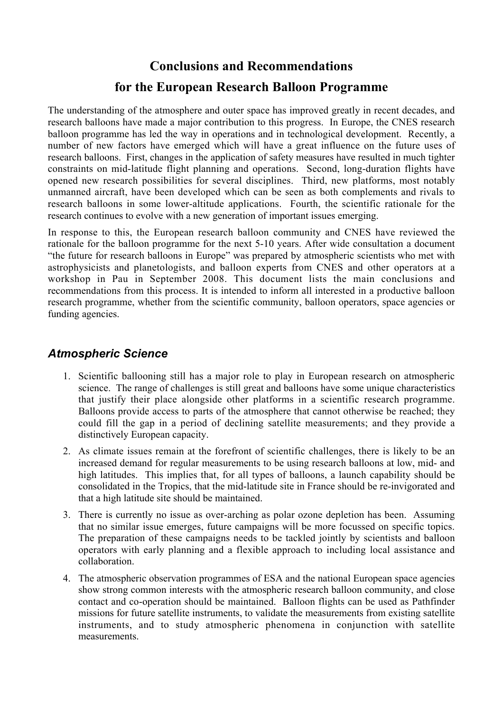## **Conclusions and Recommendations for the European Research Balloon Programme**

The understanding of the atmosphere and outer space has improved greatly in recent decades, and research balloons have made a major contribution to this progress. In Europe, the CNES research balloon programme has led the way in operations and in technological development. Recently, a number of new factors have emerged which will have a great influence on the future uses of research balloons. First, changes in the application of safety measures have resulted in much tighter constraints on mid-latitude flight planning and operations. Second, long-duration flights have opened new research possibilities for several disciplines. Third, new platforms, most notably unmanned aircraft, have been developed which can be seen as both complements and rivals to research balloons in some lower-altitude applications. Fourth, the scientific rationale for the research continues to evolve with a new generation of important issues emerging.

In response to this, the European research balloon community and CNES have reviewed the rationale for the balloon programme for the next 5-10 years. After wide consultation a document "the future for research balloons in Europe" was prepared by atmospheric scientists who met with astrophysicists and planetologists, and balloon experts from CNES and other operators at a workshop in Pau in September 2008. This document lists the main conclusions and recommendations from this process. It is intended to inform all interested in a productive balloon research programme, whether from the scientific community, balloon operators, space agencies or funding agencies.

## *Atmospheric Science*

- 1. Scientific ballooning still has a major role to play in European research on atmospheric science. The range of challenges is still great and balloons have some unique characteristics that justify their place alongside other platforms in a scientific research programme. Balloons provide access to parts of the atmosphere that cannot otherwise be reached; they could fill the gap in a period of declining satellite measurements; and they provide a distinctively European capacity.
- 2. As climate issues remain at the forefront of scientific challenges, there is likely to be an increased demand for regular measurements to be using research balloons at low, mid- and high latitudes. This implies that, for all types of balloons, a launch capability should be consolidated in the Tropics, that the mid-latitude site in France should be re-invigorated and that a high latitude site should be maintained.
- 3. There is currently no issue as over-arching as polar ozone depletion has been. Assuming that no similar issue emerges, future campaigns will be more focussed on specific topics. The preparation of these campaigns needs to be tackled jointly by scientists and balloon operators with early planning and a flexible approach to including local assistance and collaboration.
- 4. The atmospheric observation programmes of ESA and the national European space agencies show strong common interests with the atmospheric research balloon community, and close contact and co-operation should be maintained. Balloon flights can be used as Pathfinder missions for future satellite instruments, to validate the measurements from existing satellite instruments, and to study atmospheric phenomena in conjunction with satellite measurements.